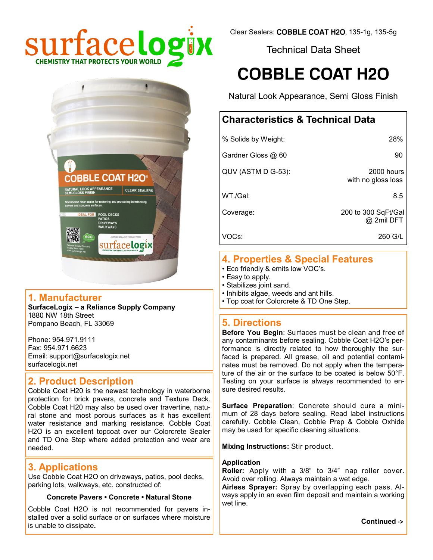

Technical Data Sheet

# **COBBLE COAT H2O**

Natural Look Appearance, Semi Gloss Finish

## **Characteristics & Technical Data**

| % Solids by Weight: | 28%                               |
|---------------------|-----------------------------------|
| Gardner Gloss @ 60  | 90                                |
| QUV (ASTM D G-53):  | 2000 hours<br>with no gloss loss  |
| WT./Gal:            | 8.5                               |
| Coverage:           | 200 to 300 SqFt/Gal<br>@ 2mil DFT |
| VOCs:               | 260 G/L                           |

## **4. Properties & Special Features**

- Eco friendly & emits low VOC's.
- Easy to apply.
- Stabilizes joint sand.
- Inhibits algae, weeds and ant hills.
- Top coat for Colorcrete & TD One Step.

### **5. Directions**

**Before You Begin**: Surfaces must be clean and free of any contaminants before sealing. Cobble Coat H2O's performance is directly related to how thoroughly the surfaced is prepared. All grease, oil and potential contaminates must be removed. Do not apply when the temperature of the air or the surface to be coated is below 50°F. Testing on your surface is always recommended to ensure desired results.

**Surface Preparation**: Concrete should cure a minimum of 28 days before sealing. Read label instructions carefully. Cobble Clean, Cobble Prep & Cobble Oxhide may be used for specific cleaning situations.

**Mixing Instructions:** Stir product.

#### **Application**

**Roller:** Apply with a 3/8" to 3/4" nap roller cover. Avoid over rolling. Always maintain a wet edge.

**Airless Sprayer:** Spray by overlapping each pass. Always apply in an even film deposit and maintain a working wet line.

**Continued ->**



#### **1. Manufacturer**

**SurfaceLogix – a Reliance Supply Company** 1880 NW 18th Street Pompano Beach, FL 33069

Phone: 954.971.9111 Fax: 954.971.6623 Email: support@surfacelogix.net surfacelogix.net

### **2. Product Description**

Cobble Coat H20 is the newest technology in waterborne protection for brick pavers, concrete and Texture Deck. Cobble Coat H20 may also be used over travertine, natural stone and most porous surfaces as it has excellent water resistance and marking resistance. Cobble Coat H2O is an excellent topcoat over our Colorcrete Sealer and TD One Step where added protection and wear are needed.

#### **3. Applications**

Use Cobble Coat H2O on driveways, patios, pool decks, parking lots, walkways, etc. constructed of:

#### **Concrete Pavers • Concrete • Natural Stone**

Cobble Coat H2O is not recommended for pavers installed over a solid surface or on surfaces where moisture is unable to dissipate**.**